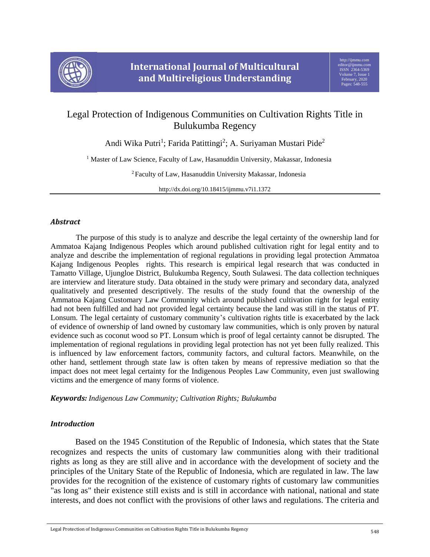

# Legal Protection of Indigenous Communities on Cultivation Rights Title in Bulukumba Regency

Andi Wika Putri<sup>1</sup>; Farida Patittingi<sup>2</sup>; A. Suriyaman Mustari Pide<sup>2</sup>

<sup>1</sup> Master of Law Science, Faculty of Law, Hasanuddin University, Makassar, Indonesia

<sup>2</sup> Faculty of Law, Hasanuddin University Makassar, Indonesia

http://dx.doi.org/10.18415/ijmmu.v7i1.1372

## *Abstract*

The purpose of this study is to analyze and describe the legal certainty of the ownership land for Ammatoa Kajang Indigenous Peoples which around published cultivation right for legal entity and to analyze and describe the implementation of regional regulations in providing legal protection Ammatoa Kajang Indigenous Peoples rights. This research is empirical legal research that was conducted in Tamatto Village, Ujungloe District, Bulukumba Regency, South Sulawesi. The data collection techniques are interview and literature study. Data obtained in the study were primary and secondary data, analyzed qualitatively and presented descriptively. The results of the study found that the ownership of the Ammatoa Kajang Customary Law Community which around published cultivation right for legal entity had not been fulfilled and had not provided legal certainty because the land was still in the status of PT. Lonsum. The legal certainty of customary community's cultivation rights title is exacerbated by the lack of evidence of ownership of land owned by customary law communities, which is only proven by natural evidence such as coconut wood so PT. Lonsum which is proof of legal certainty cannot be disrupted. The implementation of regional regulations in providing legal protection has not yet been fully realized. This is influenced by law enforcement factors, community factors, and cultural factors. Meanwhile, on the other hand, settlement through state law is often taken by means of repressive mediation so that the impact does not meet legal certainty for the Indigenous Peoples Law Community, even just swallowing victims and the emergence of many forms of violence.

*Keywords: Indigenous Law Community; Cultivation Rights; Bulukumba*

## *Introduction*

Based on the 1945 Constitution of the Republic of Indonesia, which states that the State recognizes and respects the units of customary law communities along with their traditional rights as long as they are still alive and in accordance with the development of society and the principles of the Unitary State of the Republic of Indonesia, which are regulated in law. The law provides for the recognition of the existence of customary rights of customary law communities "as long as" their existence still exists and is still in accordance with national, national and state interests, and does not conflict with the provisions of other laws and regulations. The criteria and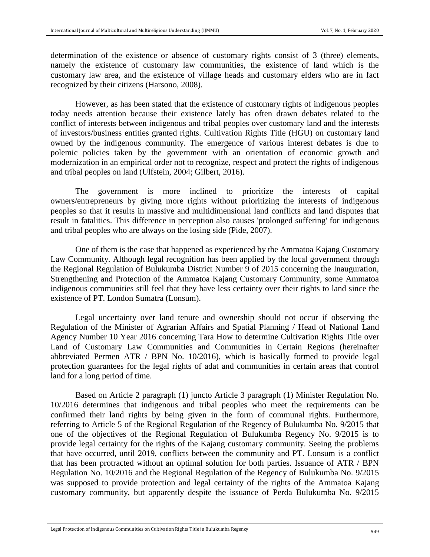determination of the existence or absence of customary rights consist of 3 (three) elements, namely the existence of customary law communities, the existence of land which is the customary law area, and the existence of village heads and customary elders who are in fact recognized by their citizens (Harsono, 2008).

However, as has been stated that the existence of customary rights of indigenous peoples today needs attention because their existence lately has often drawn debates related to the conflict of interests between indigenous and tribal peoples over customary land and the interests of investors/business entities granted rights. Cultivation Rights Title (HGU) on customary land owned by the indigenous community. The emergence of various interest debates is due to polemic policies taken by the government with an orientation of economic growth and modernization in an empirical order not to recognize, respect and protect the rights of indigenous and tribal peoples on land (Ulfstein, 2004; Gilbert, 2016).

The government is more inclined to prioritize the interests of capital owners/entrepreneurs by giving more rights without prioritizing the interests of indigenous peoples so that it results in massive and multidimensional land conflicts and land disputes that result in fatalities. This difference in perception also causes 'prolonged suffering' for indigenous and tribal peoples who are always on the losing side (Pide, 2007).

One of them is the case that happened as experienced by the Ammatoa Kajang Customary Law Community. Although legal recognition has been applied by the local government through the Regional Regulation of Bulukumba District Number 9 of 2015 concerning the Inauguration, Strengthening and Protection of the Ammatoa Kajang Customary Community, some Ammatoa indigenous communities still feel that they have less certainty over their rights to land since the existence of PT. London Sumatra (Lonsum).

Legal uncertainty over land tenure and ownership should not occur if observing the Regulation of the Minister of Agrarian Affairs and Spatial Planning / Head of National Land Agency Number 10 Year 2016 concerning Tara How to determine Cultivation Rights Title over Land of Customary Law Communities and Communities in Certain Regions (hereinafter abbreviated Permen ATR / BPN No. 10/2016), which is basically formed to provide legal protection guarantees for the legal rights of adat and communities in certain areas that control land for a long period of time.

Based on Article 2 paragraph (1) juncto Article 3 paragraph (1) Minister Regulation No. 10/2016 determines that indigenous and tribal peoples who meet the requirements can be confirmed their land rights by being given in the form of communal rights. Furthermore, referring to Article 5 of the Regional Regulation of the Regency of Bulukumba No. 9/2015 that one of the objectives of the Regional Regulation of Bulukumba Regency No. 9/2015 is to provide legal certainty for the rights of the Kajang customary community. Seeing the problems that have occurred, until 2019, conflicts between the community and PT. Lonsum is a conflict that has been protracted without an optimal solution for both parties. Issuance of ATR / BPN Regulation No. 10/2016 and the Regional Regulation of the Regency of Bulukumba No. 9/2015 was supposed to provide protection and legal certainty of the rights of the Ammatoa Kajang customary community, but apparently despite the issuance of Perda Bulukumba No. 9/2015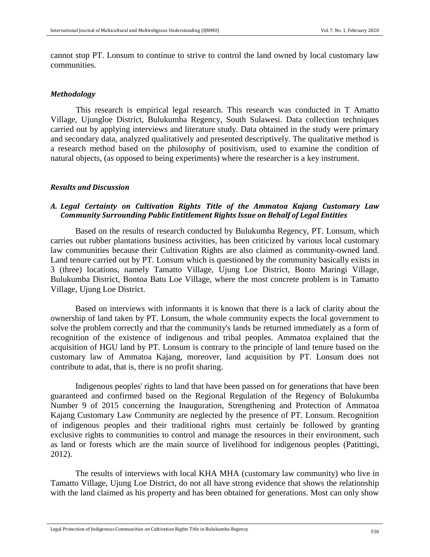cannot stop PT. Lonsum to continue to strive to control the land owned by local customary law communities.

#### *Methodology*

This research is empirical legal research. This research was conducted in T Amatto Village, Ujungloe District, Bulukumba Regency, South Sulawesi. Data collection techniques carried out by applying interviews and literature study. Data obtained in the study were primary and secondary data, analyzed qualitatively and presented descriptively. The qualitative method is a research method based on the philosophy of positivism, used to examine the condition of natural objects, (as opposed to being experiments) where the researcher is a key instrument.

#### *Results and Discussion*

## *A. Legal Certainty on Cultivation Rights Title of the Ammatoa Kajang Customary Law Community Surrounding Public Entitlement Rights Issue on Behalf of Legal Entities*

Based on the results of research conducted by Bulukumba Regency, PT. Lonsum, which carries out rubber plantations business activities, has been criticized by various local customary law communities because their Cultivation Rights are also claimed as community-owned land. Land tenure carried out by PT. Lonsum which is questioned by the community basically exists in 3 (three) locations, namely Tamatto Village, Ujung Loe District, Bonto Maringi Village, Bulukumba District, Bontoa Batu Loe Village, where the most concrete problem is in Tamatto Village, Ujung Loe District.

Based on interviews with informants it is known that there is a lack of clarity about the ownership of land taken by PT. Lonsum, the whole community expects the local government to solve the problem correctly and that the community's lands be returned immediately as a form of recognition of the existence of indigenous and tribal peoples. Ammatoa explained that the acquisition of HGU land by PT. Lonsum is contrary to the principle of land tenure based on the customary law of Ammatoa Kajang, moreover, land acquisition by PT. Lonsum does not contribute to adat, that is, there is no profit sharing.

Indigenous peoples' rights to land that have been passed on for generations that have been guaranteed and confirmed based on the Regional Regulation of the Regency of Bulukumba Number 9 of 2015 concerning the Inauguration, Strengthening and Protection of Ammatoa Kajang Customary Law Community are neglected by the presence of PT. Lonsum. Recognition of indigenous peoples and their traditional rights must certainly be followed by granting exclusive rights to communities to control and manage the resources in their environment, such as land or forests which are the main source of livelihood for indigenous peoples (Patittingi, 2012).

The results of interviews with local KHA MHA (customary law community) who live in Tamatto Village, Ujung Loe District, do not all have strong evidence that shows the relationship with the land claimed as his property and has been obtained for generations. Most can only show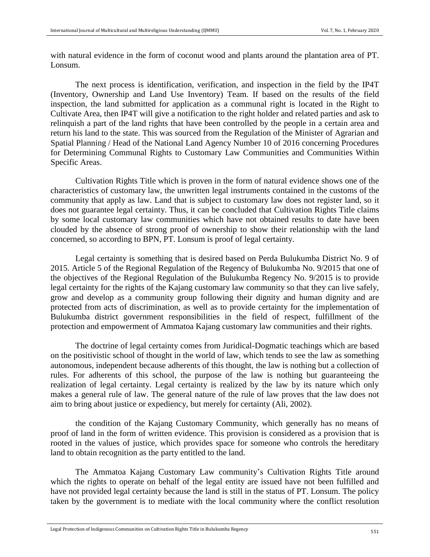with natural evidence in the form of coconut wood and plants around the plantation area of PT. Lonsum.

The next process is identification, verification, and inspection in the field by the IP4T (Inventory, Ownership and Land Use Inventory) Team. If based on the results of the field inspection, the land submitted for application as a communal right is located in the Right to Cultivate Area, then IP4T will give a notification to the right holder and related parties and ask to relinquish a part of the land rights that have been controlled by the people in a certain area and return his land to the state. This was sourced from the Regulation of the Minister of Agrarian and Spatial Planning / Head of the National Land Agency Number 10 of 2016 concerning Procedures for Determining Communal Rights to Customary Law Communities and Communities Within Specific Areas.

Cultivation Rights Title which is proven in the form of natural evidence shows one of the characteristics of customary law, the unwritten legal instruments contained in the customs of the community that apply as law. Land that is subject to customary law does not register land, so it does not guarantee legal certainty. Thus, it can be concluded that Cultivation Rights Title claims by some local customary law communities which have not obtained results to date have been clouded by the absence of strong proof of ownership to show their relationship with the land concerned, so according to BPN, PT. Lonsum is proof of legal certainty.

Legal certainty is something that is desired based on Perda Bulukumba District No. 9 of 2015. Article 5 of the Regional Regulation of the Regency of Bulukumba No. 9/2015 that one of the objectives of the Regional Regulation of the Bulukumba Regency No. 9/2015 is to provide legal certainty for the rights of the Kajang customary law community so that they can live safely, grow and develop as a community group following their dignity and human dignity and are protected from acts of discrimination, as well as to provide certainty for the implementation of Bulukumba district government responsibilities in the field of respect, fulfillment of the protection and empowerment of Ammatoa Kajang customary law communities and their rights.

The doctrine of legal certainty comes from Juridical-Dogmatic teachings which are based on the positivistic school of thought in the world of law, which tends to see the law as something autonomous, independent because adherents of this thought, the law is nothing but a collection of rules. For adherents of this school, the purpose of the law is nothing but guaranteeing the realization of legal certainty. Legal certainty is realized by the law by its nature which only makes a general rule of law. The general nature of the rule of law proves that the law does not aim to bring about justice or expediency, but merely for certainty (Ali, 2002).

the condition of the Kajang Customary Community, which generally has no means of proof of land in the form of written evidence. This provision is considered as a provision that is rooted in the values of justice, which provides space for someone who controls the hereditary land to obtain recognition as the party entitled to the land.

The Ammatoa Kajang Customary Law community's Cultivation Rights Title around which the rights to operate on behalf of the legal entity are issued have not been fulfilled and have not provided legal certainty because the land is still in the status of PT. Lonsum. The policy taken by the government is to mediate with the local community where the conflict resolution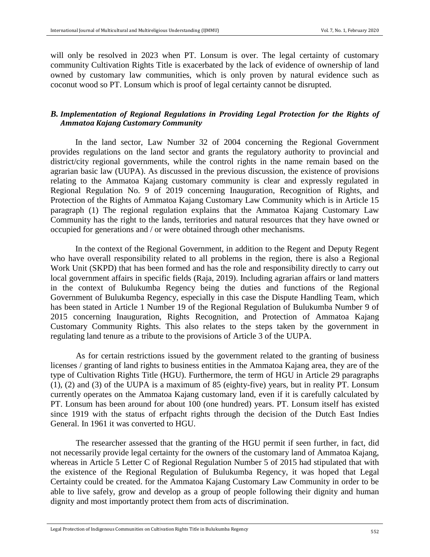will only be resolved in 2023 when PT. Lonsum is over. The legal certainty of customary community Cultivation Rights Title is exacerbated by the lack of evidence of ownership of land owned by customary law communities, which is only proven by natural evidence such as coconut wood so PT. Lonsum which is proof of legal certainty cannot be disrupted.

## *B. Implementation of Regional Regulations in Providing Legal Protection for the Rights of Ammatoa Kajang Customary Community*

In the land sector, Law Number 32 of 2004 concerning the Regional Government provides regulations on the land sector and grants the regulatory authority to provincial and district/city regional governments, while the control rights in the name remain based on the agrarian basic law (UUPA). As discussed in the previous discussion, the existence of provisions relating to the Ammatoa Kajang customary community is clear and expressly regulated in Regional Regulation No. 9 of 2019 concerning Inauguration, Recognition of Rights, and Protection of the Rights of Ammatoa Kajang Customary Law Community which is in Article 15 paragraph (1) The regional regulation explains that the Ammatoa Kajang Customary Law Community has the right to the lands, territories and natural resources that they have owned or occupied for generations and / or were obtained through other mechanisms.

In the context of the Regional Government, in addition to the Regent and Deputy Regent who have overall responsibility related to all problems in the region, there is also a Regional Work Unit (SKPD) that has been formed and has the role and responsibility directly to carry out local government affairs in specific fields (Raja, 2019). Including agrarian affairs or land matters in the context of Bulukumba Regency being the duties and functions of the Regional Government of Bulukumba Regency, especially in this case the Dispute Handling Team, which has been stated in Article 1 Number 19 of the Regional Regulation of Bulukumba Number 9 of 2015 concerning Inauguration, Rights Recognition, and Protection of Ammatoa Kajang Customary Community Rights. This also relates to the steps taken by the government in regulating land tenure as a tribute to the provisions of Article 3 of the UUPA.

As for certain restrictions issued by the government related to the granting of business licenses / granting of land rights to business entities in the Ammatoa Kajang area, they are of the type of Cultivation Rights Title (HGU). Furthermore, the term of HGU in Article 29 paragraphs (1), (2) and (3) of the UUPA is a maximum of 85 (eighty-five) years, but in reality PT. Lonsum currently operates on the Ammatoa Kajang customary land, even if it is carefully calculated by PT. Lonsum has been around for about 100 (one hundred) years. PT. Lonsum itself has existed since 1919 with the status of erfpacht rights through the decision of the Dutch East Indies General. In 1961 it was converted to HGU.

The researcher assessed that the granting of the HGU permit if seen further, in fact, did not necessarily provide legal certainty for the owners of the customary land of Ammatoa Kajang, whereas in Article 5 Letter C of Regional Regulation Number 5 of 2015 had stipulated that with the existence of the Regional Regulation of Bulukumba Regency, it was hoped that Legal Certainty could be created. for the Ammatoa Kajang Customary Law Community in order to be able to live safely, grow and develop as a group of people following their dignity and human dignity and most importantly protect them from acts of discrimination.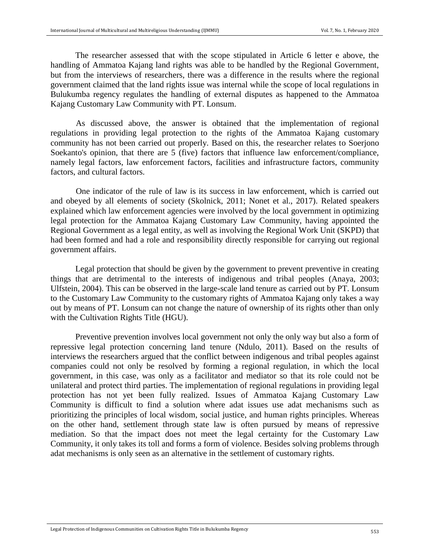The researcher assessed that with the scope stipulated in Article 6 letter e above, the handling of Ammatoa Kajang land rights was able to be handled by the Regional Government, but from the interviews of researchers, there was a difference in the results where the regional government claimed that the land rights issue was internal while the scope of local regulations in Bulukumba regency regulates the handling of external disputes as happened to the Ammatoa Kajang Customary Law Community with PT. Lonsum.

As discussed above, the answer is obtained that the implementation of regional regulations in providing legal protection to the rights of the Ammatoa Kajang customary community has not been carried out properly. Based on this, the researcher relates to Soerjono Soekanto's opinion, that there are 5 (five) factors that influence law enforcement/compliance, namely legal factors, law enforcement factors, facilities and infrastructure factors, community factors, and cultural factors.

One indicator of the rule of law is its success in law enforcement, which is carried out and obeyed by all elements of society (Skolnick, 2011; Nonet et al., 2017). Related speakers explained which law enforcement agencies were involved by the local government in optimizing legal protection for the Ammatoa Kajang Customary Law Community, having appointed the Regional Government as a legal entity, as well as involving the Regional Work Unit (SKPD) that had been formed and had a role and responsibility directly responsible for carrying out regional government affairs.

Legal protection that should be given by the government to prevent preventive in creating things that are detrimental to the interests of indigenous and tribal peoples (Anaya, 2003; Ulfstein, 2004). This can be observed in the large-scale land tenure as carried out by PT. Lonsum to the Customary Law Community to the customary rights of Ammatoa Kajang only takes a way out by means of PT. Lonsum can not change the nature of ownership of its rights other than only with the Cultivation Rights Title (HGU).

Preventive prevention involves local government not only the only way but also a form of repressive legal protection concerning land tenure (Ndulo, 2011). Based on the results of interviews the researchers argued that the conflict between indigenous and tribal peoples against companies could not only be resolved by forming a regional regulation, in which the local government, in this case, was only as a facilitator and mediator so that its role could not be unilateral and protect third parties. The implementation of regional regulations in providing legal protection has not yet been fully realized. Issues of Ammatoa Kajang Customary Law Community is difficult to find a solution where adat issues use adat mechanisms such as prioritizing the principles of local wisdom, social justice, and human rights principles. Whereas on the other hand, settlement through state law is often pursued by means of repressive mediation. So that the impact does not meet the legal certainty for the Customary Law Community, it only takes its toll and forms a form of violence. Besides solving problems through adat mechanisms is only seen as an alternative in the settlement of customary rights.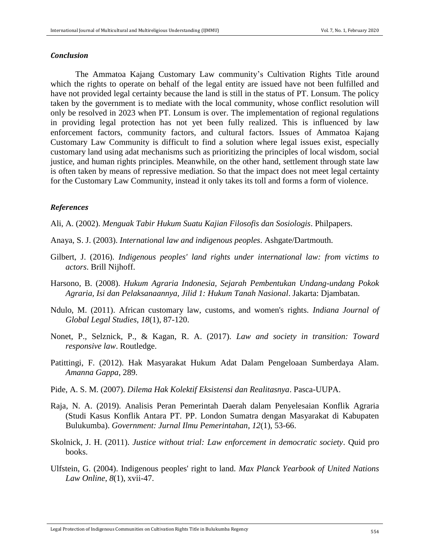#### *Conclusion*

The Ammatoa Kajang Customary Law community's Cultivation Rights Title around which the rights to operate on behalf of the legal entity are issued have not been fulfilled and have not provided legal certainty because the land is still in the status of PT. Lonsum. The policy taken by the government is to mediate with the local community, whose conflict resolution will only be resolved in 2023 when PT. Lonsum is over. The implementation of regional regulations in providing legal protection has not yet been fully realized. This is influenced by law enforcement factors, community factors, and cultural factors. Issues of Ammatoa Kajang Customary Law Community is difficult to find a solution where legal issues exist, especially customary land using adat mechanisms such as prioritizing the principles of local wisdom, social justice, and human rights principles. Meanwhile, on the other hand, settlement through state law is often taken by means of repressive mediation. So that the impact does not meet legal certainty for the Customary Law Community, instead it only takes its toll and forms a form of violence.

#### *References*

Ali, A. (2002). *Menguak Tabir Hukum Suatu Kajian Filosofis dan Sosiologis*. Philpapers.

- Anaya, S. J. (2003). *International law and indigenous peoples*. Ashgate/Dartmouth.
- Gilbert, J. (2016). *Indigenous peoples' land rights under international law: from victims to actors*. Brill Nijhoff.
- Harsono, B. (2008). *Hukum Agraria Indonesia, Sejarah Pembentukan Undang-undang Pokok Agraria, Isi dan Pelaksanaannya, Jilid 1: Hukum Tanah Nasional*. Jakarta: Djambatan.
- Ndulo, M. (2011). African customary law, customs, and women's rights. *Indiana Journal of Global Legal Studies*, *18*(1), 87-120.
- Nonet, P., Selznick, P., & Kagan, R. A. (2017). *Law and society in transition: Toward responsive law*. Routledge.
- Patittingi, F. (2012). Hak Masyarakat Hukum Adat Dalam Pengeloaan Sumberdaya Alam. *Amanna Gappa*, 289.
- Pide, A. S. M. (2007). *Dilema Hak Kolektif Eksistensi dan Realitasnya*. Pasca-UUPA.
- Raja, N. A. (2019). Analisis Peran Pemerintah Daerah dalam Penyelesaian Konflik Agraria (Studi Kasus Konflik Antara PT. PP. London Sumatra dengan Masyarakat di Kabupaten Bulukumba). *Government: Jurnal Ilmu Pemerintahan*, *12*(1), 53-66.
- Skolnick, J. H. (2011). *Justice without trial: Law enforcement in democratic society*. Quid pro books.
- Ulfstein, G. (2004). Indigenous peoples' right to land. *Max Planck Yearbook of United Nations Law Online*, *8*(1), xvii-47.